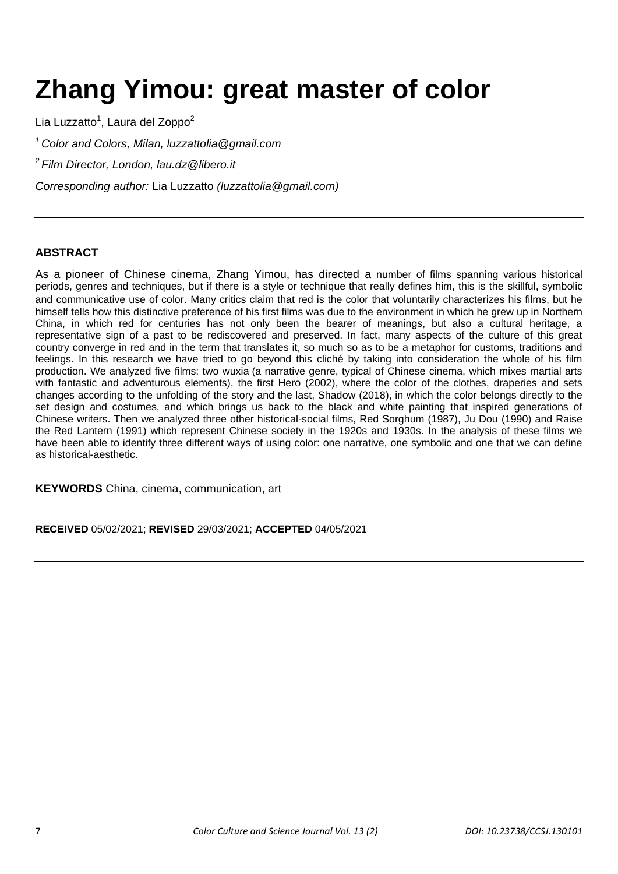# **Zhang Yimou: great master of color**

Lia Luzzatto<sup>1</sup>, Laura del Zoppo<sup>2</sup> *<sup>1</sup>Color and Colors, Milan, luzzattolia@gmail.com <sup>2</sup>Film Director, London, lau.dz@libero.it*

*Corresponding author:* Lia Luzzatto *(luzzattolia@gmail.com)*

## **ABSTRACT**

As a pioneer of Chinese cinema, Zhang Yimou, has directed a number of films spanning various historical periods, genres and techniques, but if there is a style or technique that really defines him, this is the skillful, symbolic and communicative use of color. Many critics claim that red is the color that voluntarily characterizes his films, but he himself tells how this distinctive preference of his first films was due to the environment in which he grew up in Northern China, in which red for centuries has not only been the bearer of meanings, but also a cultural heritage, a representative sign of a past to be rediscovered and preserved. In fact, many aspects of the culture of this great country converge in red and in the term that translates it, so much so as to be a metaphor for customs, traditions and feelings. In this research we have tried to go beyond this cliché by taking into consideration the whole of his film production. We analyzed five films: two wuxia (a narrative genre, typical of Chinese cinema, which mixes martial arts with fantastic and adventurous elements), the first Hero (2002), where the color of the clothes, draperies and sets changes according to the unfolding of the story and the last, Shadow (2018), in which the color belongs directly to the set design and costumes, and which brings us back to the black and white painting that inspired generations of Chinese writers. Then we analyzed three other historical-social films, Red Sorghum (1987), Ju Dou (1990) and Raise the Red Lantern (1991) which represent Chinese society in the 1920s and 1930s. In the analysis of these films we have been able to identify three different ways of using color: one narrative, one symbolic and one that we can define as historical-aesthetic.

**KEYWORDS** China, cinema, communication, art

**RECEIVED** 05/02/2021; **REVISED** 29/03/2021; **ACCEPTED** 04/05/2021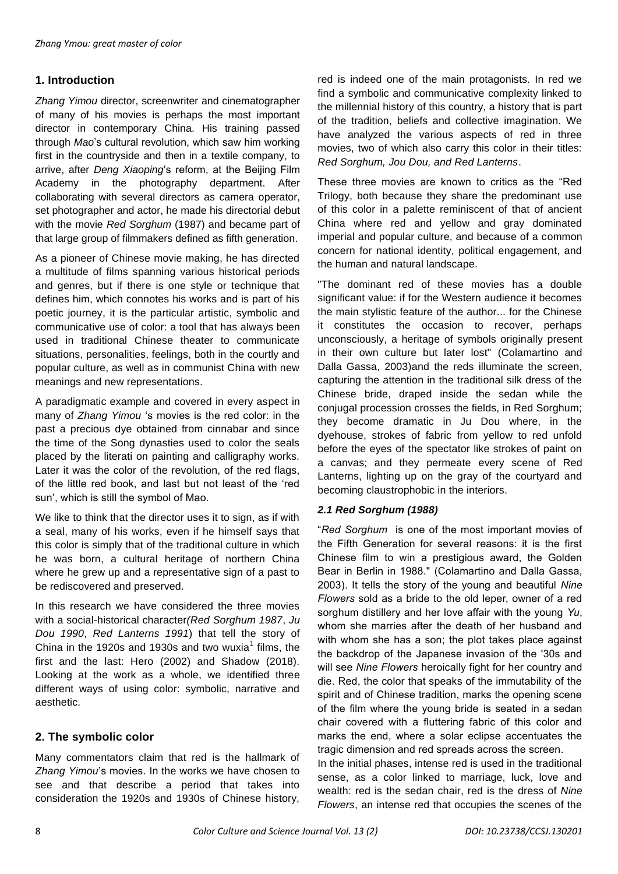# **1. Introduction**

*Zhang Yimou* director, screenwriter and cinematographer of many of his movies is perhaps the most important director in contemporary China. His training passed through *Mao*'s cultural revolution, which saw him working first in the countryside and then in a textile company, to arrive, after *Deng Xiaoping*'s reform, at the Beijing Film Academy in the photography department. After collaborating with several directors as camera operator, set photographer and actor, he made his directorial debut with the movie *Red Sorghum* (1987) and became part of that large group of filmmakers defined as fifth generation.

As a pioneer of Chinese movie making, he has directed a multitude of films spanning various historical periods and genres, but if there is one style or technique that defines him, which connotes his works and is part of his poetic journey, it is the particular artistic, symbolic and communicative use of color: a tool that has always been used in traditional Chinese theater to communicate situations, personalities, feelings, both in the courtly and popular culture, as well as in communist China with new meanings and new representations.

A paradigmatic example and covered in every aspect in many of *Zhang Yimou* 's movies is the red color: in the past a precious dye obtained from cinnabar and since the time of the Song dynasties used to color the seals placed by the literati on painting and calligraphy works. Later it was the color of the revolution, of the red flags, of the little red book, and last but not least of the 'red sun', which is still the symbol of Mao.

We like to think that the director uses it to sign, as if with a seal, many of his works, even if he himself says that this color is simply that of the traditional culture in which he was born, a cultural heritage of northern China where he grew up and a representative sign of a past to be rediscovered and preserved.

In this research we have considered the three movies with a social-historical character*(Red Sorghum 1987*, *Ju Dou 1990*, *Red Lanterns 1991*) that tell the story of China in the 1920s and 1930s and two wuxia<sup>1</sup> films, the first and the last: Hero (2002) and Shadow (2018). Looking at the work as a whole, we identified three different ways of using color: symbolic, narrative and aesthetic.

# **2. The symbolic color**

Many commentators claim that red is the hallmark of *Zhang Yimou*'s movies. In the works we have chosen to see and that describe a period that takes into consideration the 1920s and 1930s of Chinese history,

red is indeed one of the main protagonists. In red we find a symbolic and communicative complexity linked to the millennial history of this country, a history that is part of the tradition, beliefs and collective imagination. We have analyzed the various aspects of red in three movies, two of which also carry this color in their titles: *Red Sorghum, Jou Dou, and Red Lanterns*.

These three movies are known to critics as the "Red Trilogy, both because they share the predominant use of this color in a palette reminiscent of that of ancient China where red and yellow and gray dominated imperial and popular culture, and because of a common concern for national identity, political engagement, and the human and natural landscape.

"The dominant red of these movies has a double significant value: if for the Western audience it becomes the main stylistic feature of the author... for the Chinese it constitutes the occasion to recover, perhaps unconsciously, a heritage of symbols originally present in their own culture but later lost" (Colamartino and Dalla Gassa, 2003)and the reds illuminate the screen, capturing the attention in the traditional silk dress of the Chinese bride, draped inside the sedan while the conjugal procession crosses the fields, in Red Sorghum; they become dramatic in Ju Dou where, in the dyehouse, strokes of fabric from yellow to red unfold before the eyes of the spectator like strokes of paint on a canvas; and they permeate every scene of Red Lanterns, lighting up on the gray of the courtyard and becoming claustrophobic in the interiors.

## *2.1 Red Sorghum (1988)*

"*Red Sorghum* is one of the most important movies of the Fifth Generation for several reasons: it is the first Chinese film to win a prestigious award, the Golden Bear in Berlin in 1988." (Colamartino and Dalla Gassa, 2003). It tells the story of the young and beautiful *Nine Flowers* sold as a bride to the old leper, owner of a red sorghum distillery and her love affair with the young *Yu*, whom she marries after the death of her husband and with whom she has a son; the plot takes place against the backdrop of the Japanese invasion of the '30s and will see *Nine Flowers* heroically fight for her country and die. Red, the color that speaks of the immutability of the spirit and of Chinese tradition, marks the opening scene of the film where the young bride is seated in a sedan chair covered with a fluttering fabric of this color and marks the end, where a solar eclipse accentuates the tragic dimension and red spreads across the screen.

In the initial phases, intense red is used in the traditional sense, as a color linked to marriage, luck, love and wealth: red is the sedan chair, red is the dress of *Nine Flowers*, an intense red that occupies the scenes of the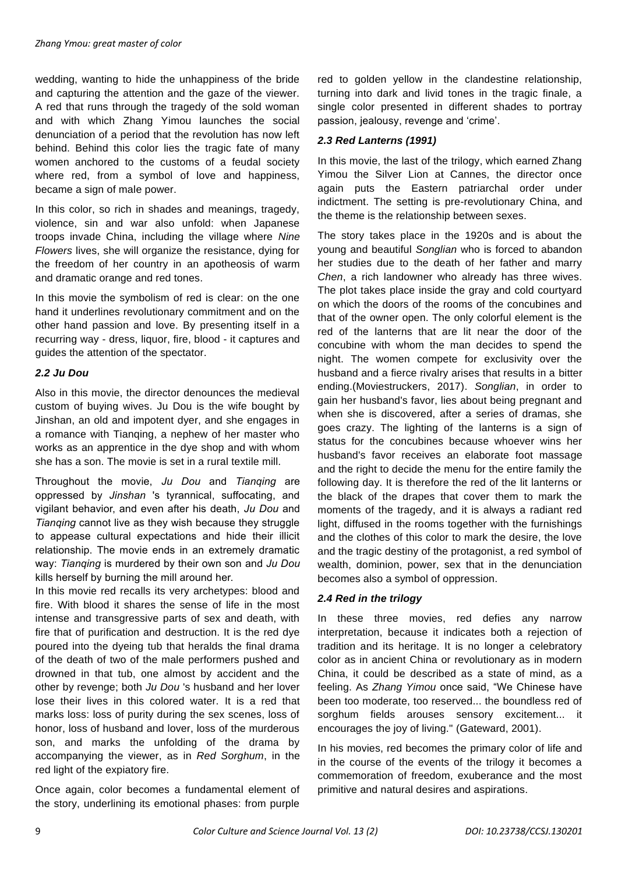wedding, wanting to hide the unhappiness of the bride and capturing the attention and the gaze of the viewer. A red that runs through the tragedy of the sold woman and with which Zhang Yimou launches the social denunciation of a period that the revolution has now left behind. Behind this color lies the tragic fate of many women anchored to the customs of a feudal society where red, from a symbol of love and happiness, became a sign of male power.

In this color, so rich in shades and meanings, tragedy, violence, sin and war also unfold: when Japanese troops invade China, including the village where *Nine Flowers* lives, she will organize the resistance, dying for the freedom of her country in an apotheosis of warm and dramatic orange and red tones.

In this movie the symbolism of red is clear: on the one hand it underlines revolutionary commitment and on the other hand passion and love. By presenting itself in a recurring way - dress, liquor, fire, blood - it captures and guides the attention of the spectator.

#### *2.2 Ju Dou*

Also in this movie, the director denounces the medieval custom of buying wives. Ju Dou is the wife bought by Jinshan, an old and impotent dyer, and she engages in a romance with Tianqing, a nephew of her master who works as an apprentice in the dye shop and with whom she has a son. The movie is set in a rural textile mill.

Throughout the movie, *Ju Dou* and *Tianqing* are oppressed by *Jinshan* 's tyrannical, suffocating, and vigilant behavior, and even after his death, *Ju Dou* and *Tianqing* cannot live as they wish because they struggle to appease cultural expectations and hide their illicit relationship. The movie ends in an extremely dramatic way: *Tianqing* is murdered by their own son and *Ju Dou*  kills herself by burning the mill around her.

In this movie red recalls its very archetypes: blood and fire. With blood it shares the sense of life in the most intense and transgressive parts of sex and death, with fire that of purification and destruction. It is the red dye poured into the dyeing tub that heralds the final drama of the death of two of the male performers pushed and drowned in that tub, one almost by accident and the other by revenge; both *Ju Dou* 's husband and her lover lose their lives in this colored water. It is a red that marks loss: loss of purity during the sex scenes, loss of honor, loss of husband and lover, loss of the murderous son, and marks the unfolding of the drama by accompanying the viewer, as in *Red Sorghum*, in the red light of the expiatory fire.

Once again, color becomes a fundamental element of the story, underlining its emotional phases: from purple

red to golden yellow in the clandestine relationship, turning into dark and livid tones in the tragic finale, a single color presented in different shades to portray passion, jealousy, revenge and 'crime'.

#### *2.3 Red Lanterns (1991)*

In this movie, the last of the trilogy, which earned Zhang Yimou the Silver Lion at Cannes, the director once again puts the Eastern patriarchal order under indictment. The setting is pre-revolutionary China, and the theme is the relationship between sexes.

The story takes place in the 1920s and is about the young and beautiful *Songlian* who is forced to abandon her studies due to the death of her father and marry *Chen*, a rich landowner who already has three wives. The plot takes place inside the gray and cold courtyard on which the doors of the rooms of the concubines and that of the owner open. The only colorful element is the red of the lanterns that are lit near the door of the concubine with whom the man decides to spend the night. The women compete for exclusivity over the husband and a fierce rivalry arises that results in a bitter ending.(Moviestruckers, 2017). *Songlian*, in order to gain her husband's favor, lies about being pregnant and when she is discovered, after a series of dramas, she goes crazy. The lighting of the lanterns is a sign of status for the concubines because whoever wins her husband's favor receives an elaborate foot massage and the right to decide the menu for the entire family the following day. It is therefore the red of the lit lanterns or the black of the drapes that cover them to mark the moments of the tragedy, and it is always a radiant red light, diffused in the rooms together with the furnishings and the clothes of this color to mark the desire, the love and the tragic destiny of the protagonist, a red symbol of wealth, dominion, power, sex that in the denunciation becomes also a symbol of oppression.

## *2.4 Red in the trilogy*

In these three movies, red defies any narrow interpretation, because it indicates both a rejection of tradition and its heritage. It is no longer a celebratory color as in ancient China or revolutionary as in modern China, it could be described as a state of mind, as a feeling. As *Zhang Yimou* once said, "We Chinese have been too moderate, too reserved... the boundless red of sorghum fields arouses sensory excitement... it encourages the joy of living." (Gateward, 2001).

In his movies, red becomes the primary color of life and in the course of the events of the trilogy it becomes a commemoration of freedom, exuberance and the most primitive and natural desires and aspirations.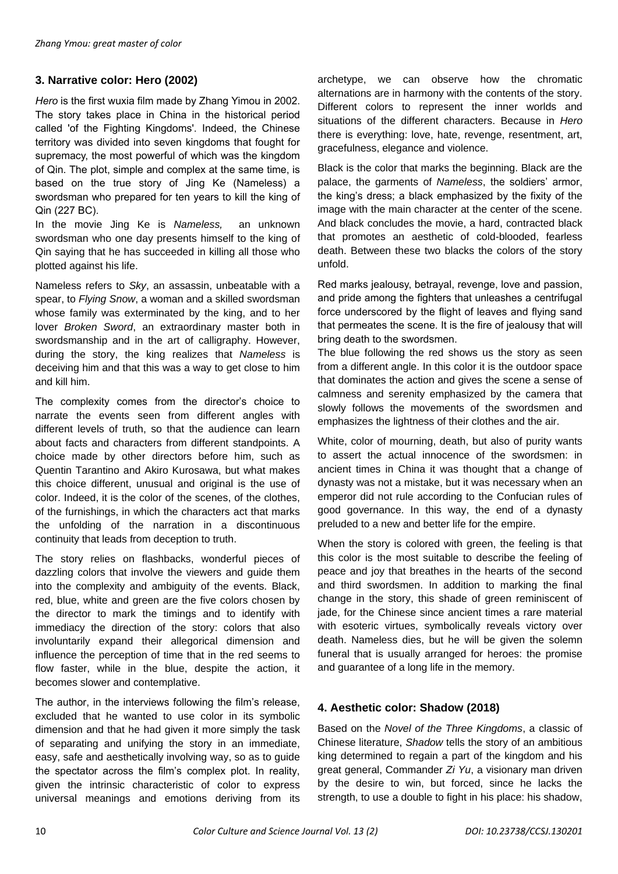## **3. Narrative color: Hero (2002)**

*Hero* is the first wuxia film made by Zhang Yimou in 2002. The story takes place in China in the historical period called 'of the Fighting Kingdoms'. Indeed, the Chinese territory was divided into seven kingdoms that fought for supremacy, the most powerful of which was the kingdom of Qin. The plot, simple and complex at the same time, is based on the true story of Jing Ke (Nameless) a swordsman who prepared for ten years to kill the king of Qin (227 BC).

In the movie Jing Ke is *Nameless,* an unknown swordsman who one day presents himself to the king of Qin saying that he has succeeded in killing all those who plotted against his life.

Nameless refers to *Sky*, an assassin, unbeatable with a spear, to *Flying Snow*, a woman and a skilled swordsman whose family was exterminated by the king, and to her lover *Broken Sword*, an extraordinary master both in swordsmanship and in the art of calligraphy. However, during the story, the king realizes that *Nameless* is deceiving him and that this was a way to get close to him and kill him.

The complexity comes from the director's choice to narrate the events seen from different angles with different levels of truth, so that the audience can learn about facts and characters from different standpoints. A choice made by other directors before him, such as Quentin Tarantino and Akiro Kurosawa, but what makes this choice different, unusual and original is the use of color. Indeed, it is the color of the scenes, of the clothes, of the furnishings, in which the characters act that marks the unfolding of the narration in a discontinuous continuity that leads from deception to truth.

The story relies on flashbacks, wonderful pieces of dazzling colors that involve the viewers and guide them into the complexity and ambiguity of the events. Black, red, blue, white and green are the five colors chosen by the director to mark the timings and to identify with immediacy the direction of the story: colors that also involuntarily expand their allegorical dimension and influence the perception of time that in the red seems to flow faster, while in the blue, despite the action, it becomes slower and contemplative.

The author, in the interviews following the film's release, excluded that he wanted to use color in its symbolic dimension and that he had given it more simply the task of separating and unifying the story in an immediate, easy, safe and aesthetically involving way, so as to guide the spectator across the film's complex plot. In reality, given the intrinsic characteristic of color to express universal meanings and emotions deriving from its

archetype, we can observe how the chromatic alternations are in harmony with the contents of the story. Different colors to represent the inner worlds and situations of the different characters. Because in *Hero* there is everything: love, hate, revenge, resentment, art, gracefulness, elegance and violence.

Black is the color that marks the beginning. Black are the palace, the garments of *Nameless*, the soldiers' armor, the king's dress; a black emphasized by the fixity of the image with the main character at the center of the scene. And black concludes the movie, a hard, contracted black that promotes an aesthetic of cold-blooded, fearless death. Between these two blacks the colors of the story unfold.

Red marks jealousy, betrayal, revenge, love and passion, and pride among the fighters that unleashes a centrifugal force underscored by the flight of leaves and flying sand that permeates the scene. It is the fire of jealousy that will bring death to the swordsmen.

The blue following the red shows us the story as seen from a different angle. In this color it is the outdoor space that dominates the action and gives the scene a sense of calmness and serenity emphasized by the camera that slowly follows the movements of the swordsmen and emphasizes the lightness of their clothes and the air.

White, color of mourning, death, but also of purity wants to assert the actual innocence of the swordsmen: in ancient times in China it was thought that a change of dynasty was not a mistake, but it was necessary when an emperor did not rule according to the Confucian rules of good governance. In this way, the end of a dynasty preluded to a new and better life for the empire.

When the story is colored with green, the feeling is that this color is the most suitable to describe the feeling of peace and joy that breathes in the hearts of the second and third swordsmen. In addition to marking the final change in the story, this shade of green reminiscent of jade, for the Chinese since ancient times a rare material with esoteric virtues, symbolically reveals victory over death. Nameless dies, but he will be given the solemn funeral that is usually arranged for heroes: the promise and guarantee of a long life in the memory.

# **4. Aesthetic color: Shadow (2018)**

Based on the *Novel of the Three Kingdoms*, a classic of Chinese literature, *Shadow* tells the story of an ambitious king determined to regain a part of the kingdom and his great general, Commander *Zi Yu*, a visionary man driven by the desire to win, but forced, since he lacks the strength, to use a double to fight in his place: his shadow,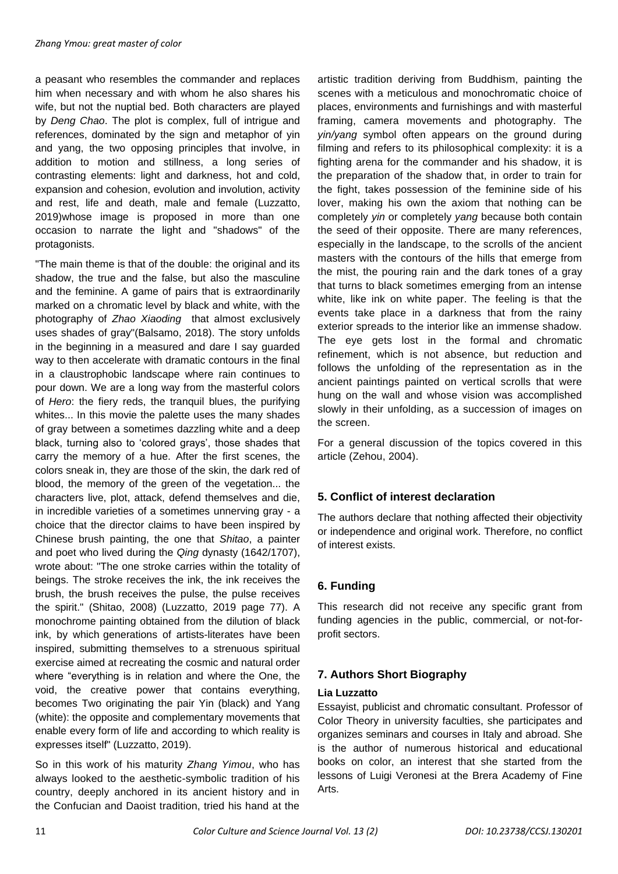a peasant who resembles the commander and replaces him when necessary and with whom he also shares his wife, but not the nuptial bed. Both characters are played by *Deng Chao*. The plot is complex, full of intrigue and references, dominated by the sign and metaphor of yin and yang, the two opposing principles that involve, in addition to motion and stillness, a long series of contrasting elements: light and darkness, hot and cold, expansion and cohesion, evolution and involution, activity and rest, life and death, male and female (Luzzatto, 2019)whose image is proposed in more than one occasion to narrate the light and "shadows" of the protagonists.

"The main theme is that of the double: the original and its shadow, the true and the false, but also the masculine and the feminine. A game of pairs that is extraordinarily marked on a chromatic level by black and white, with the photography of *Zhao Xiaoding* that almost exclusively uses shades of gray"(Balsamo, 2018). The story unfolds in the beginning in a measured and dare I say guarded way to then accelerate with dramatic contours in the final in a claustrophobic landscape where rain continues to pour down. We are a long way from the masterful colors of *Hero*: the fiery reds, the tranquil blues, the purifying whites... In this movie the palette uses the many shades of gray between a sometimes dazzling white and a deep black, turning also to 'colored grays', those shades that carry the memory of a hue. After the first scenes, the colors sneak in, they are those of the skin, the dark red of blood, the memory of the green of the vegetation... the characters live, plot, attack, defend themselves and die, in incredible varieties of a sometimes unnerving gray - a choice that the director claims to have been inspired by Chinese brush painting, the one that *Shitao*, a painter and poet who lived during the *Qing* dynasty (1642/1707), wrote about: "The one stroke carries within the totality of beings. The stroke receives the ink, the ink receives the brush, the brush receives the pulse, the pulse receives the spirit." (Shitao, 2008) (Luzzatto, 2019 page 77). A monochrome painting obtained from the dilution of black ink, by which generations of artists-literates have been inspired, submitting themselves to a strenuous spiritual exercise aimed at recreating the cosmic and natural order where "everything is in relation and where the One, the void, the creative power that contains everything, becomes Two originating the pair Yin (black) and Yang (white): the opposite and complementary movements that enable every form of life and according to which reality is expresses itself" (Luzzatto, 2019).

So in this work of his maturity *Zhang Yimou*, who has always looked to the aesthetic-symbolic tradition of his country, deeply anchored in its ancient history and in the Confucian and Daoist tradition, tried his hand at the

artistic tradition deriving from Buddhism, painting the scenes with a meticulous and monochromatic choice of places, environments and furnishings and with masterful framing, camera movements and photography. The *yin/yang* symbol often appears on the ground during filming and refers to its philosophical complexity: it is a fighting arena for the commander and his shadow, it is the preparation of the shadow that, in order to train for the fight, takes possession of the feminine side of his lover, making his own the axiom that nothing can be completely *yin* or completely *yang* because both contain the seed of their opposite. There are many references, especially in the landscape, to the scrolls of the ancient masters with the contours of the hills that emerge from the mist, the pouring rain and the dark tones of a gray that turns to black sometimes emerging from an intense white, like ink on white paper. The feeling is that the events take place in a darkness that from the rainy exterior spreads to the interior like an immense shadow. The eye gets lost in the formal and chromatic refinement, which is not absence, but reduction and follows the unfolding of the representation as in the ancient paintings painted on vertical scrolls that were hung on the wall and whose vision was accomplished slowly in their unfolding, as a succession of images on the screen.

For a general discussion of the topics covered in this article (Zehou, 2004).

# **5. Conflict of interest declaration**

The authors declare that nothing affected their objectivity or independence and original work. Therefore, no conflict of interest exists.

# **6. Funding**

This research did not receive any specific grant from funding agencies in the public, commercial, or not-forprofit sectors.

## **7. Authors Short Biography**

#### **Lia Luzzatto**

Essayist, publicist and chromatic consultant. Professor of Color Theory in university faculties, she participates and organizes seminars and courses in Italy and abroad. She is the author of numerous historical and educational books on color, an interest that she started from the lessons of Luigi Veronesi at the Brera Academy of Fine Arts.